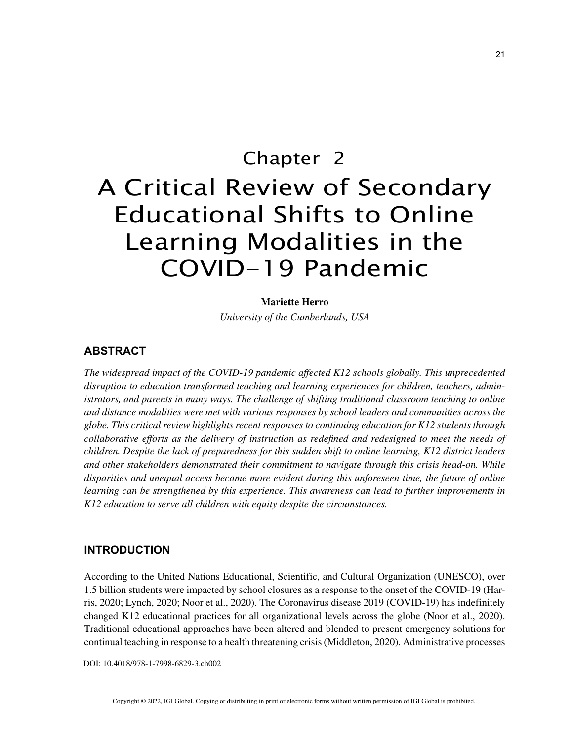# Chapter 2 A Critical Review of Secondary Educational Shifts to Online Learning Modalities in the COVID-19 Pandemic

#### **Mariette Herro**

*University of the Cumberlands, USA*

## **ABSTRACT**

*The widespread impact of the COVID-19 pandemic affected K12 schools globally. This unprecedented disruption to education transformed teaching and learning experiences for children, teachers, administrators, and parents in many ways. The challenge of shifting traditional classroom teaching to online and distance modalities were met with various responses by school leaders and communities across the globe. This critical review highlights recent responses to continuing education for K12 students through collaborative efforts as the delivery of instruction as redefined and redesigned to meet the needs of children. Despite the lack of preparedness for this sudden shift to online learning, K12 district leaders and other stakeholders demonstrated their commitment to navigate through this crisis head-on. While disparities and unequal access became more evident during this unforeseen time, the future of online learning can be strengthened by this experience. This awareness can lead to further improvements in K12 education to serve all children with equity despite the circumstances.*

## **INTRODUCTION**

According to the United Nations Educational, Scientific, and Cultural Organization (UNESCO), over 1.5 billion students were impacted by school closures as a response to the onset of the COVID-19 (Harris, 2020; Lynch, 2020; Noor et al., 2020). The Coronavirus disease 2019 (COVID-19) has indefinitely changed K12 educational practices for all organizational levels across the globe (Noor et al., 2020). Traditional educational approaches have been altered and blended to present emergency solutions for continual teaching in response to a health threatening crisis (Middleton, 2020). Administrative processes

DOI: 10.4018/978-1-7998-6829-3.ch002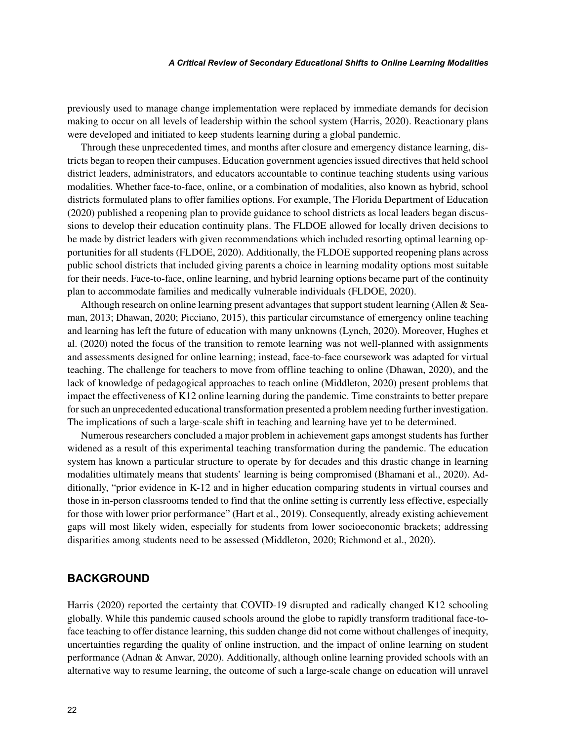#### *A Critical Review of Secondary Educational Shifts to Online Learning Modalities*

previously used to manage change implementation were replaced by immediate demands for decision making to occur on all levels of leadership within the school system (Harris, 2020). Reactionary plans were developed and initiated to keep students learning during a global pandemic.

Through these unprecedented times, and months after closure and emergency distance learning, districts began to reopen their campuses. Education government agencies issued directives that held school district leaders, administrators, and educators accountable to continue teaching students using various modalities. Whether face-to-face, online, or a combination of modalities, also known as hybrid, school districts formulated plans to offer families options. For example, The Florida Department of Education (2020) published a reopening plan to provide guidance to school districts as local leaders began discussions to develop their education continuity plans. The FLDOE allowed for locally driven decisions to be made by district leaders with given recommendations which included resorting optimal learning opportunities for all students (FLDOE, 2020). Additionally, the FLDOE supported reopening plans across public school districts that included giving parents a choice in learning modality options most suitable for their needs. Face-to-face, online learning, and hybrid learning options became part of the continuity plan to accommodate families and medically vulnerable individuals (FLDOE, 2020).

Although research on online learning present advantages that support student learning (Allen & Seaman, 2013; Dhawan, 2020; Picciano, 2015), this particular circumstance of emergency online teaching and learning has left the future of education with many unknowns (Lynch, 2020). Moreover, Hughes et al. (2020) noted the focus of the transition to remote learning was not well-planned with assignments and assessments designed for online learning; instead, face-to-face coursework was adapted for virtual teaching. The challenge for teachers to move from offline teaching to online (Dhawan, 2020), and the lack of knowledge of pedagogical approaches to teach online (Middleton, 2020) present problems that impact the effectiveness of K12 online learning during the pandemic. Time constraints to better prepare for such an unprecedented educational transformation presented a problem needing further investigation. The implications of such a large-scale shift in teaching and learning have yet to be determined.

Numerous researchers concluded a major problem in achievement gaps amongst students has further widened as a result of this experimental teaching transformation during the pandemic. The education system has known a particular structure to operate by for decades and this drastic change in learning modalities ultimately means that students' learning is being compromised (Bhamani et al., 2020). Additionally, "prior evidence in K-12 and in higher education comparing students in virtual courses and those in in-person classrooms tended to find that the online setting is currently less effective, especially for those with lower prior performance" (Hart et al., 2019). Consequently, already existing achievement gaps will most likely widen, especially for students from lower socioeconomic brackets; addressing disparities among students need to be assessed (Middleton, 2020; Richmond et al., 2020).

## **BACKGROUND**

Harris (2020) reported the certainty that COVID-19 disrupted and radically changed K12 schooling globally. While this pandemic caused schools around the globe to rapidly transform traditional face-toface teaching to offer distance learning, this sudden change did not come without challenges of inequity, uncertainties regarding the quality of online instruction, and the impact of online learning on student performance (Adnan & Anwar, 2020). Additionally, although online learning provided schools with an alternative way to resume learning, the outcome of such a large-scale change on education will unravel